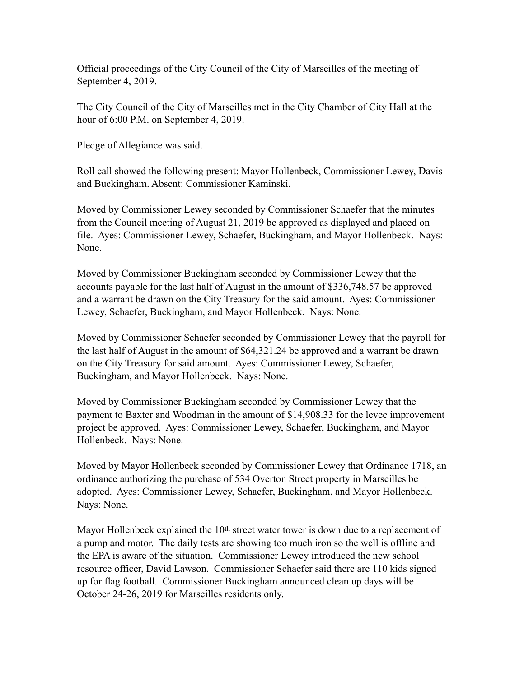Official proceedings of the City Council of the City of Marseilles of the meeting of September 4, 2019.

The City Council of the City of Marseilles met in the City Chamber of City Hall at the hour of 6:00 P.M. on September 4, 2019.

Pledge of Allegiance was said.

Roll call showed the following present: Mayor Hollenbeck, Commissioner Lewey, Davis and Buckingham. Absent: Commissioner Kaminski.

Moved by Commissioner Lewey seconded by Commissioner Schaefer that the minutes from the Council meeting of August 21, 2019 be approved as displayed and placed on file. Ayes: Commissioner Lewey, Schaefer, Buckingham, and Mayor Hollenbeck. Nays: None.

Moved by Commissioner Buckingham seconded by Commissioner Lewey that the accounts payable for the last half of August in the amount of \$336,748.57 be approved and a warrant be drawn on the City Treasury for the said amount. Ayes: Commissioner Lewey, Schaefer, Buckingham, and Mayor Hollenbeck. Nays: None.

Moved by Commissioner Schaefer seconded by Commissioner Lewey that the payroll for the last half of August in the amount of \$64,321.24 be approved and a warrant be drawn on the City Treasury for said amount. Ayes: Commissioner Lewey, Schaefer, Buckingham, and Mayor Hollenbeck. Nays: None.

Moved by Commissioner Buckingham seconded by Commissioner Lewey that the payment to Baxter and Woodman in the amount of \$14,908.33 for the levee improvement project be approved. Ayes: Commissioner Lewey, Schaefer, Buckingham, and Mayor Hollenbeck. Nays: None.

Moved by Mayor Hollenbeck seconded by Commissioner Lewey that Ordinance 1718, an ordinance authorizing the purchase of 534 Overton Street property in Marseilles be adopted. Ayes: Commissioner Lewey, Schaefer, Buckingham, and Mayor Hollenbeck. Nays: None.

Mayor Hollenbeck explained the 10<sup>th</sup> street water tower is down due to a replacement of a pump and motor. The daily tests are showing too much iron so the well is offline and the EPA is aware of the situation. Commissioner Lewey introduced the new school resource officer, David Lawson. Commissioner Schaefer said there are 110 kids signed up for flag football. Commissioner Buckingham announced clean up days will be October 24-26, 2019 for Marseilles residents only.